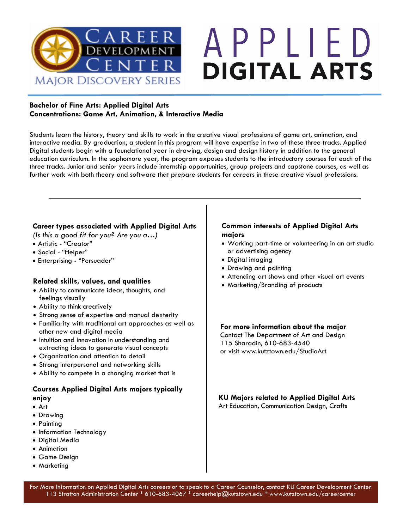

# APPLIED **DIGITAL ARTS**

### **Bachelor of Fine Arts: Applied Digital Arts Concentrations: Game Art, Animation, & Interactive Media**

Students learn the history, theory and skills to work in the creative visual professions of game art, animation, and interactive media. By graduation, a student in this program will have expertise in two of these three tracks. Applied Digital students begin with a foundational year in drawing, design and design history in addition to the general education curriculum. In the sophomore year, the program exposes students to the introductory courses for each of the three tracks. Junior and senior years include internship opportunities, group projects and capstone courses, as well as further work with both theory and software that prepare students for careers in these creative visual professions.

### **Career types associated with Applied Digital Arts**

*(Is this a good fit for you? Are you a…)*

- Artistic "Creator"
- Social "Helper"
- Enterprising "Persuader"

### **Related skills, values, and qualities**

- Ability to communicate ideas, thoughts, and feelings visually
- Ability to think creatively
- Strong sense of expertise and manual dexterity
- Familiarity with traditional art approaches as well as other new and digital media
- Intuition and innovation in understanding and extracting ideas to generate visual concepts
- Organization and attention to detail
- Strong interpersonal and networking skills
- Ability to compete in a changing market that is

### **Courses Applied Digital Arts majors typically enjoy**

- Art
- Drawing
- Painting
- Information Technology
- Digital Media
- Animation
- Game Design
- Marketing

### **Common interests of Applied Digital Arts majors**

- Working part-time or volunteering in an art studio or advertising agency
- Digital imaging
- Drawing and painting
- Attending art shows and other visual art events
- Marketing/Branding of products

### **For more information about the major**

Contact The Department of Art and Design 115 Sharadin, 610-683-4540 or visit www.kutztown.edu/StudioArt

### **KU Majors related to Applied Digital Arts**

Art Education, Communication Design, Crafts

For More Information on Applied Digital Arts careers or to speak to a Career Counselor, contact KU Career Development Center 113 Stratton Administration Center \* 610-683-4067 \* careerhelp@kutztown.edu \* www.kutztown.edu/careercenter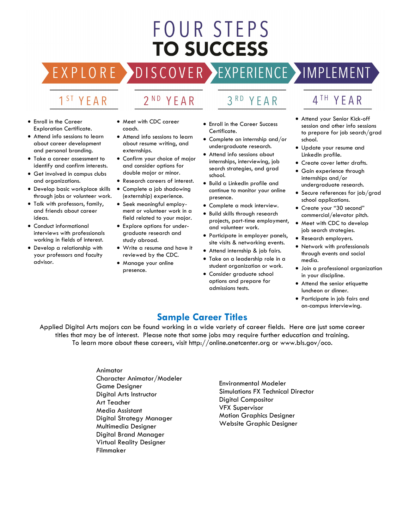## FOUR STEPS **TO SUCCESS**

**DISCOVER** 

### 1<sup>ST</sup> YEAR

EXPLO

RE

### 2<sup>ND</sup> YEAR

#### • Enroll in the Career Exploration Certificate.

- Attend info sessions to learn about career development and personal branding.
- Take a career assessment to identify and confirm interests.
- Get involved in campus clubs and organizations.
- Develop basic workplace skills through jobs or volunteer work.
- Talk with professors, family, and friends about career ideas.
- Conduct informational interviews with professionals working in fields of interest.
- Develop a relationship with your professors and faculty advisor.
- Meet with CDC career coach.
- Attend info sessions to learn about resume writing, and externships.
- Confirm your choice of major and consider options for double major or minor.
- Research careers of interest.
- Complete a job shadowing (externship) experience.
- Seek meaningful employment or volunteer work in a field related to your major.
- Explore options for undergraduate research and study abroad.
- Write a resume and have it reviewed by the CDC.
- Manage your online presence.

YEAR

• Enroll in the Career Success Certificate.

 $3<sup>RD</sup>$ 

- Complete an internship and/or undergraduate research.
- Attend info sessions about internships, interviewing, job search strategies, and grad school.
- Build a LinkedIn profile and continue to monitor your online presence.
- Complete a mock interview.
- Build skills through research projects, part-time employment, and volunteer work.
- Participate in employer panels, site visits & networking events.
- Attend internship & job fairs.
- Take on a leadership role in a student organization or work.
- Consider graduate school options and prepare for admissions tests.

### 4TH YEAR

EXPERIENCE >IMPLEMENT

- Attend your Senior Kick-off session and other info sessions to prepare for job search/grad school.
- Update your resume and LinkedIn profile.
- Create cover letter drafts.
- Gain experience through internships and/or undergraduate research.
- Secure references for job/grad school applications.
- Create your "30 second" commercial/elevator pitch.
- Meet with CDC to develop job search strategies.
- Research employers.
- Network with professionals through events and social media.
- Join a professional organization in your discipline.
- Attend the senior etiquette luncheon or dinner.
- Participate in job fairs and on-campus interviewing.

### **Sample Career Titles**

Applied Digital Arts majors can be found working in a wide variety of career fields. Here are just some career titles that may be of interest. Please note that some jobs may require further education and training. To learn more about these careers, visit http://online.onetcenter.org or www.bls.gov/oco.

### Animator

Character Animator/Modeler Game Designer Digital Arts Instructor Art Teacher Media Assistant Digital Strategy Manager Multimedia Designer Digital Brand Manager Virtual Reality Designer Filmmaker

Environmental Modeler Simulations FX Technical Director Digital Compositor VFX Supervisor Motion Graphics Designer Website Graphic Designer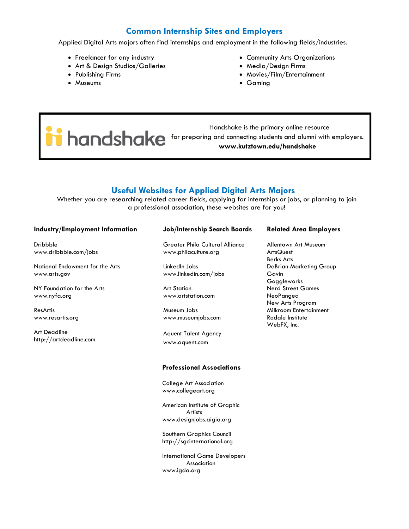### **Common Internship Sites and Employers**

Applied Digital Arts majors often find internships and employment in the following fields/industries.

- Freelancer for any industry
- Art & Design Studios/Galleries
- Publishing Firms
- Museums
- Community Arts Organizations
- Media/Design Firms
- Movies/Film/Entertainment
- Gaming

 Handshake is the primary online resource for preparing and connecting students and alumni with employers. **www.kutztown.edu/handshake**

### **Useful Websites for Applied Digital Arts Majors**

Whether you are researching related career fields, applying for internships or jobs, or planning to join a professional association, these websites are for you!

#### **Industry/Employment Information**

Dribbble www.dribbble.com/jobs

National Endowment for the Arts www.arts.gov

NY Foundation for the Arts www.nyfa.org

ResArtis www.resartis.org

Art Deadline http://artdeadline.com

#### **Job/Internship Search Boards**

Greater Phila Cultural Alliance www.philaculture.org

LinkedIn Jobs www.linkedin.com/jobs

Art Station www.artstation.com

Museum Jobs www.museumjobs.com

Aquent Talent Agency www.aquent.com

#### **Professional Associations**

College Art Association www.collegeart.org

American Institute of Graphic Artists www.designjobs.aigia.org

Southern Graphics Council http://sgcinternational.org

International Game Developers Association www.igda.org

#### **Related Area Employers**

Allentown Art Museum **ArtsQuest** Berks Arts DaBrian Marketing Group Gavin **Goggleworks** Nerd Street Games NeoPangea New Arts Program Milkroom Entertainment Rodale Institute WebFX, Inc.